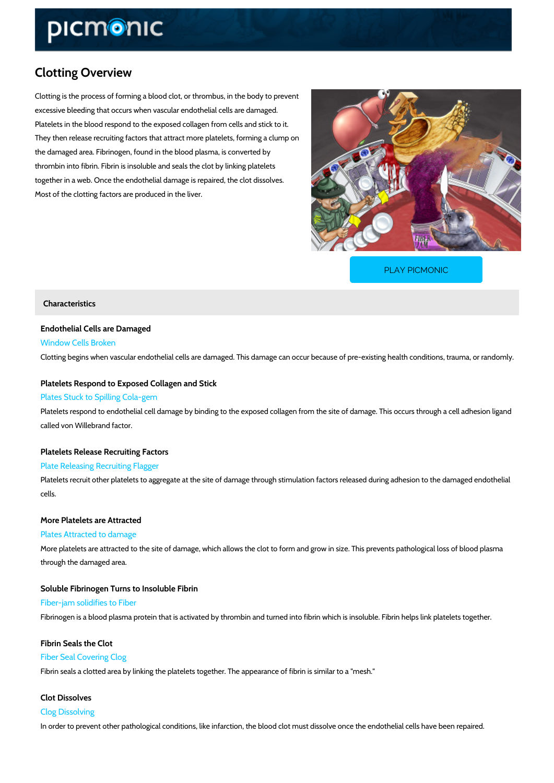## Clotting Overview

Clotting is the process of forming a blood clot, or thrombus, in the body to prevent excessive bleeding that occurs when vascular endothelial cells are damaged. Platelets in the blood respond to the exposed collagen from cells and stick to it. They then release recruiting factors that attract more platelets, forming a clump on the damaged area. Fibrinogen, found in the blood plasma, is converted by thrombin into fibrin. Fibrin is insoluble and seals the clot by linking platelets together in a web. Once the endothelial damage is repaired, the clot dissolves. Most of the clotting factors are produced in the liver.

[PLAY PICMONIC](https://www.picmonic.com/learn/clotting_851?utm_source=downloadable_content&utm_medium=distributedcontent&utm_campaign=pathways_pdf&utm_content=Clotting Overview&utm_ad_group=leads&utm_market=all)

## Characteristics

Endothelial Cells are Damaged Window Cells Broken Clotting begins when vascular endothelial cells are damaged. This damage can occur because

Platelets Respond to Exposed Collagen and Stick Plates Stuck to Spilling Cola-gem

Platelets respond to endothelial cell damage by binding to the exposed collagen from the site called von Willebrand factor.

Platelets Release Recruiting Factors

Plate Releasing Recruiting Flagger

Platelets recruit other platelets to aggregate at the site of damage through stimulation factor cells.

More Platelets are Attracted Plates Attracted to damage

More platelets are attracted to the site of damage, which allows the clot to form and grow in s through the damaged area.

Soluble Fibrinogen Turns to Insoluble Fibrin Fiber-jam solidifies to Fiber Fibrinogen is a blood plasma protein that is activated by thrombin and turned into fibrin which

Fibrin Seals the Clot Fiber Seal Covering Clog Fibrin seals a clotted area by linking the platelets together. The appearance of fibrin is simil

Clot Dissolves Clog Dissolving In order to prevent other pathological conditions, like infarction, the blood clot must dissolve